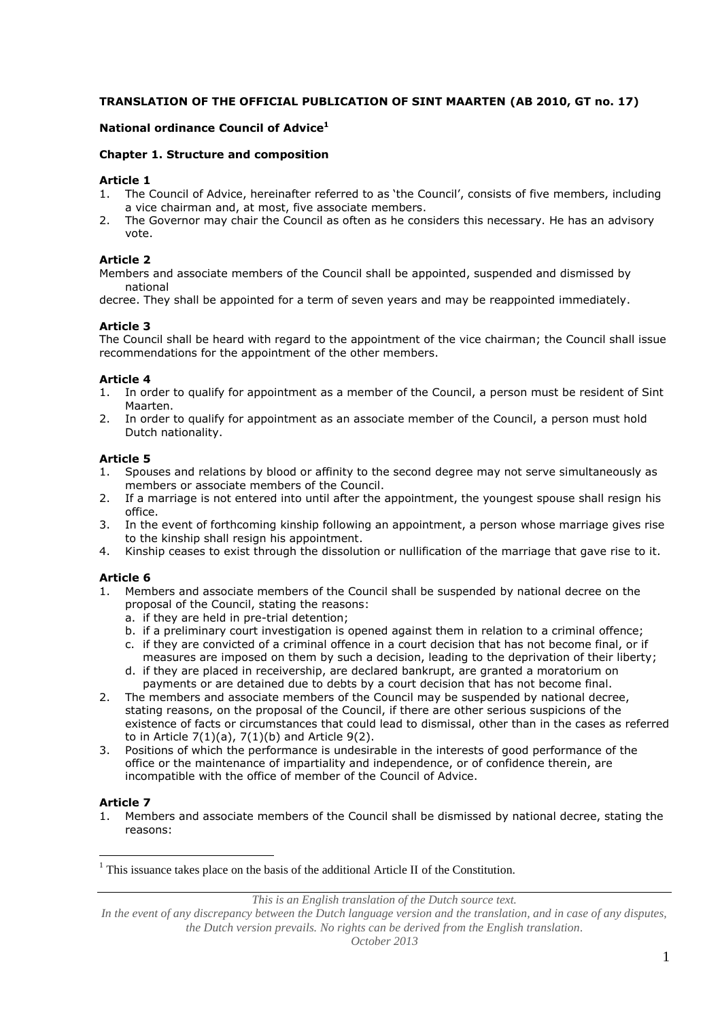# **TRANSLATION OF THE OFFICIAL PUBLICATION OF SINT MAARTEN (AB 2010, GT no. 17)**

#### **National ordinance Council of Advice<sup>1</sup>**

#### **Chapter 1. Structure and composition**

#### **Article 1**

- 1. The Council of Advice, hereinafter referred to as 'the Council', consists of five members, including a vice chairman and, at most, five associate members.
- 2. The Governor may chair the Council as often as he considers this necessary. He has an advisory vote.

# **Article 2**

Members and associate members of the Council shall be appointed, suspended and dismissed by national

decree. They shall be appointed for a term of seven years and may be reappointed immediately.

#### **Article 3**

The Council shall be heard with regard to the appointment of the vice chairman; the Council shall issue recommendations for the appointment of the other members.

#### **Article 4**

- 1. In order to qualify for appointment as a member of the Council, a person must be resident of Sint Maarten.
- 2. In order to qualify for appointment as an associate member of the Council, a person must hold Dutch nationality.

# **Article 5**

- 1. Spouses and relations by blood or affinity to the second degree may not serve simultaneously as members or associate members of the Council.
- 2. If a marriage is not entered into until after the appointment, the youngest spouse shall resign his office.
- 3. In the event of forthcoming kinship following an appointment, a person whose marriage gives rise to the kinship shall resign his appointment.
- 4. Kinship ceases to exist through the dissolution or nullification of the marriage that gave rise to it.

#### **Article 6**

- 1. Members and associate members of the Council shall be suspended by national decree on the proposal of the Council, stating the reasons:
	- a. if they are held in pre-trial detention;
	- b. if a preliminary court investigation is opened against them in relation to a criminal offence;
	- c. if they are convicted of a criminal offence in a court decision that has not become final, or if measures are imposed on them by such a decision, leading to the deprivation of their liberty;
	- d. if they are placed in receivership, are declared bankrupt, are granted a moratorium on payments or are detained due to debts by a court decision that has not become final.
- 2. The members and associate members of the Council may be suspended by national decree, stating reasons, on the proposal of the Council, if there are other serious suspicions of the existence of facts or circumstances that could lead to dismissal, other than in the cases as referred to in Article 7(1)(a), 7(1)(b) and Article 9(2).
- 3. Positions of which the performance is undesirable in the interests of good performance of the office or the maintenance of impartiality and independence, or of confidence therein, are incompatible with the office of member of the Council of Advice.

# **Article 7**

 $\overline{a}$ 

1. Members and associate members of the Council shall be dismissed by national decree, stating the reasons:

*This is an English translation of the Dutch source text.*

 $<sup>1</sup>$  This issuance takes place on the basis of the additional Article II of the Constitution.</sup>

In the event of any discrepancy between the Dutch language version and the translation, and in case of any disputes, *the Dutch version prevails. No rights can be derived from the English translation.*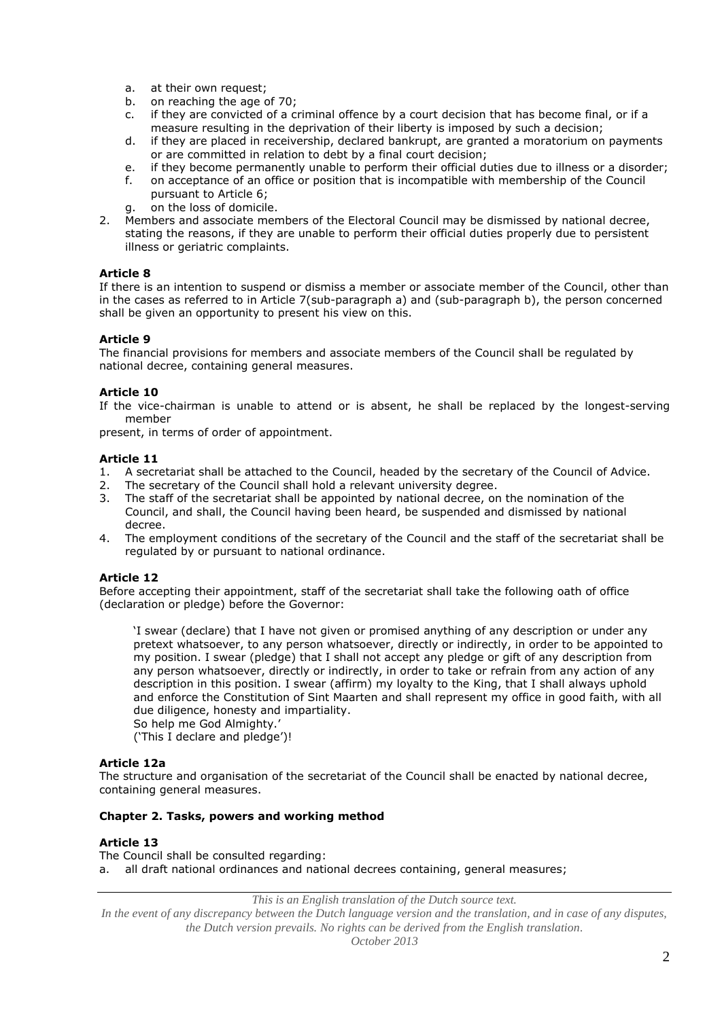- a. at their own request;
- b. on reaching the age of 70;
- c. if they are convicted of a criminal offence by a court decision that has become final, or if a measure resulting in the deprivation of their liberty is imposed by such a decision;
- d. if they are placed in receivership, declared bankrupt, are granted a moratorium on payments or are committed in relation to debt by a final court decision;
- e. if they become permanently unable to perform their official duties due to illness or a disorder;
- f. on acceptance of an office or position that is incompatible with membership of the Council pursuant to Article 6;
- g. on the loss of domicile.
- 2. Members and associate members of the Electoral Council may be dismissed by national decree, stating the reasons, if they are unable to perform their official duties properly due to persistent illness or geriatric complaints.

#### **Article 8**

If there is an intention to suspend or dismiss a member or associate member of the Council, other than in the cases as referred to in Article 7(sub-paragraph a) and (sub-paragraph b), the person concerned shall be given an opportunity to present his view on this.

#### **Article 9**

The financial provisions for members and associate members of the Council shall be regulated by national decree, containing general measures.

# **Article 10**

If the vice-chairman is unable to attend or is absent, he shall be replaced by the longest-serving member

present, in terms of order of appointment.

#### **Article 11**

- 1. A secretariat shall be attached to the Council, headed by the secretary of the Council of Advice.
- 2. The secretary of the Council shall hold a relevant university degree.
- 3. The staff of the secretariat shall be appointed by national decree, on the nomination of the Council, and shall, the Council having been heard, be suspended and dismissed by national decree.
- 4. The employment conditions of the secretary of the Council and the staff of the secretariat shall be regulated by or pursuant to national ordinance.

#### **Article 12**

Before accepting their appointment, staff of the secretariat shall take the following oath of office (declaration or pledge) before the Governor:

'I swear (declare) that I have not given or promised anything of any description or under any pretext whatsoever, to any person whatsoever, directly or indirectly, in order to be appointed to my position. I swear (pledge) that I shall not accept any pledge or gift of any description from any person whatsoever, directly or indirectly, in order to take or refrain from any action of any description in this position. I swear (affirm) my loyalty to the King, that I shall always uphold and enforce the Constitution of Sint Maarten and shall represent my office in good faith, with all due diligence, honesty and impartiality. So help me God Almighty.'

('This I declare and pledge')!

#### **Article 12a**

The structure and organisation of the secretariat of the Council shall be enacted by national decree, containing general measures.

#### **Chapter 2. Tasks, powers and working method**

#### **Article 13**

The Council shall be consulted regarding: a. all draft national ordinances and national decrees containing, general measures;

*This is an English translation of the Dutch source text.*

*In the event of any discrepancy between the Dutch language version and the translation, and in case of any disputes, the Dutch version prevails. No rights can be derived from the English translation.*

*October 2013*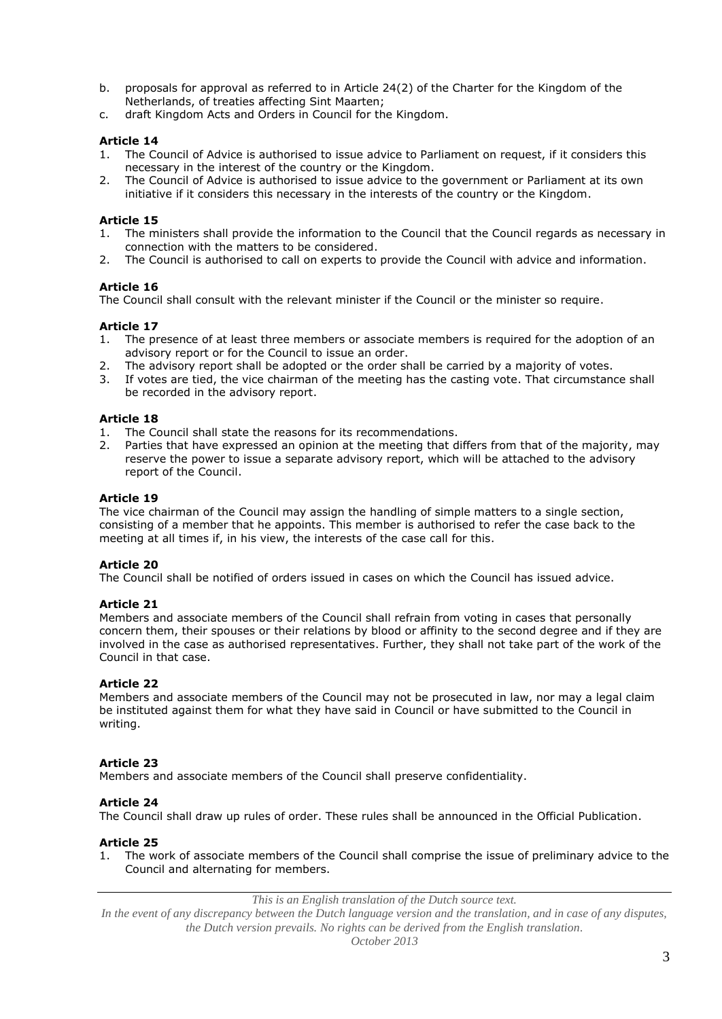- b. proposals for approval as referred to in Article 24(2) of the Charter for the Kingdom of the Netherlands, of treaties affecting Sint Maarten;
- c. draft Kingdom Acts and Orders in Council for the Kingdom.

# **Article 14**

- 1. The Council of Advice is authorised to issue advice to Parliament on request, if it considers this necessary in the interest of the country or the Kingdom.
- 2. The Council of Advice is authorised to issue advice to the government or Parliament at its own initiative if it considers this necessary in the interests of the country or the Kingdom.

# **Article 15**

- 1. The ministers shall provide the information to the Council that the Council regards as necessary in connection with the matters to be considered.
- 2. The Council is authorised to call on experts to provide the Council with advice and information.

# **Article 16**

The Council shall consult with the relevant minister if the Council or the minister so require.

# **Article 17**

- 1. The presence of at least three members or associate members is required for the adoption of an advisory report or for the Council to issue an order.
- The advisory report shall be adopted or the order shall be carried by a majority of votes.
- 3. If votes are tied, the vice chairman of the meeting has the casting vote. That circumstance shall be recorded in the advisory report.

# Article 18<br><sup>1</sup> The Co

- The Council shall state the reasons for its recommendations.
- 2. Parties that have expressed an opinion at the meeting that differs from that of the majority, may reserve the power to issue a separate advisory report, which will be attached to the advisory report of the Council.

# **Article 19**

The vice chairman of the Council may assign the handling of simple matters to a single section, consisting of a member that he appoints. This member is authorised to refer the case back to the meeting at all times if, in his view, the interests of the case call for this.

# **Article 20**

The Council shall be notified of orders issued in cases on which the Council has issued advice.

# **Article 21**

Members and associate members of the Council shall refrain from voting in cases that personally concern them, their spouses or their relations by blood or affinity to the second degree and if they are involved in the case as authorised representatives. Further, they shall not take part of the work of the Council in that case.

# **Article 22**

Members and associate members of the Council may not be prosecuted in law, nor may a legal claim be instituted against them for what they have said in Council or have submitted to the Council in writing.

# **Article 23**

Members and associate members of the Council shall preserve confidentiality.

# **Article 24**

The Council shall draw up rules of order. These rules shall be announced in the Official Publication.

# **Article 25**

1. The work of associate members of the Council shall comprise the issue of preliminary advice to the Council and alternating for members.

*This is an English translation of the Dutch source text.*

*In the event of any discrepancy between the Dutch language version and the translation, and in case of any disputes, the Dutch version prevails. No rights can be derived from the English translation.*